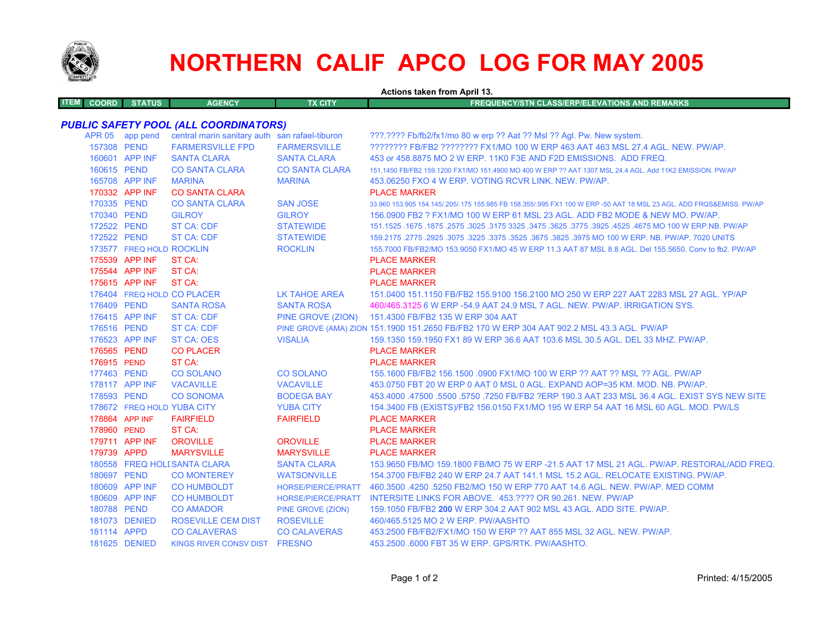

**ITEM**

## **NORTHERN CALIF APCO LOG FOR MAY 2005**

**Actions taken from April 13.**

**COORD STATUS AGENCY TX CITY FREQUENCY/STN CLASS/ERP/ELEVATIONS AND REMARKS**

## *PUBLIC SAFETY POOL (ALL COORDINATORS)*

|             | APR 05 app pend            | central marin sanitary auth san rafael-tiburon |                           | ???.???? Fb/fb2/fx1/mo 80 w erp ?? Aat ?? Msl ?? Agl. Pw. New system.                                               |
|-------------|----------------------------|------------------------------------------------|---------------------------|---------------------------------------------------------------------------------------------------------------------|
| 157308 PEND |                            | <b>FARMERSVILLE FPD</b>                        | <b>FARMERSVILLE</b>       | ???????? FB/FB2 ???????? FX1/MO 100 W ERP 463 AAT 463 MSL 27.4 AGL. NEW. PW/AP.                                     |
|             | 160601 APP INF             | <b>SANTA CLARA</b>                             | <b>SANTA CLARA</b>        | 453 or 458,8875 MO 2 W ERP, 11K0 F3E AND F2D EMISSIONS. ADD FREQ.                                                   |
|             | 160615 PEND                | <b>CO SANTA CLARA</b>                          | <b>CO SANTA CLARA</b>     | 151.1450 FB/FB2 159.1200 FX1/MO 151.4900 MO 400 W ERP ?? AAT 1307 MSL 24.4 AGL, Add 11K2 EMISSION, PW/AP            |
|             | 165708 APP INF             | <b>MARINA</b>                                  | <b>MARINA</b>             | 453.06250 FXO 4 W ERP. VOTING RCVR LINK. NEW. PW/AP.                                                                |
|             | 170332 APP INF             | <b>CO SANTA CLARA</b>                          |                           | <b>PLACE MARKER</b>                                                                                                 |
| 170335 PEND |                            | <b>CO SANTA CLARA</b>                          | <b>SAN JOSE</b>           | 33.960 153.905 154.145/.205/.175 155.985 FB 158.355/.995 FX1 100 W ERP -50 AAT 18 MSL 23 AGL. ADD FRQS&EMISS. PW/AP |
| 170340 PEND |                            | <b>GILROY</b>                                  | <b>GILROY</b>             | 156,0900 FB2 ? FX1/MO 100 W ERP 61 MSL 23 AGL, ADD FB2 MODE & NEW MO, PW/AP,                                        |
| 172522 PEND |                            | <b>ST CA: CDF</b>                              | <b>STATEWIDE</b>          | 151.1525 .1675 .1875 .2575 .3025 .3175 3325 .3475 .3625 .3775 .3925 .4525 .4675 MO 100 W ERP.NB. PW/AP              |
| 172522 PEND |                            | <b>ST CA: CDF</b>                              | <b>STATEWIDE</b>          | 159.2175 .2775 .2925 .3075 .3225 .3375 .3625 .3675 .3825 .3975 MO 100 W ERP. NB. PW/AP. 7020 UNITS                  |
|             | 173577 FREQ HOLD ROCKLIN   |                                                | <b>ROCKLIN</b>            | 155.7000 FB/FB2/MO 153.9050 FX1/MO 45 W ERP 11.3 AAT 87 MSL 8.8 AGL. Del 155.5650. Conv to fb2. PW/AP               |
|             | 175539 APP INF             | ST CA:                                         |                           | <b>PLACE MARKER</b>                                                                                                 |
|             | 175544 APP INF             | ST CA:                                         |                           | <b>PLACE MARKER</b>                                                                                                 |
|             | 175615 APP INF             | ST CA:                                         |                           | <b>PLACE MARKER</b>                                                                                                 |
|             |                            | 176404 FREQ HOLD CO PLACER                     | LK TAHOE AREA             | 151.0400 151.1150 FB/FB2 155.9100 156.2100 MO 250 W ERP 227 AAT 2283 MSL 27 AGL. YP/AP                              |
| 176409 PEND |                            | <b>SANTA ROSA</b>                              | <b>SANTA ROSA</b>         | 460/465.3125 6 W ERP -54.9 AAT 24.9 MSL 7 AGL. NEW. PW/AP. IRRIGATION SYS.                                          |
|             | 176415 APP INF             | <b>ST CA: CDF</b>                              | PINE GROVE (ZION)         | 151.4300 FB/FB2 135 W ERP 304 AAT                                                                                   |
| 176516 PEND |                            | <b>ST CA: CDF</b>                              |                           | PINE GROVE (AMA) ZION 151.1900 151.2650 FB/FB2 170 W ERP 304 AAT 902.2 MSL 43.3 AGL. PW/AP                          |
|             | 176523 APP INF             | <b>ST CA: OES</b>                              | <b>VISALIA</b>            | 159.1350 159.1950 FX1 89 W ERP 36.6 AAT 103.6 MSL 30.5 AGL, DEL 33 MHZ, PW/AP,                                      |
| 176565 PEND |                            | <b>CO PLACER</b>                               |                           | <b>PLACE MARKER</b>                                                                                                 |
| 176915 PEND |                            | ST CA:                                         |                           | <b>PLACE MARKER</b>                                                                                                 |
| 177463 PEND |                            | <b>CO SOLANO</b>                               | <b>CO SOLANO</b>          | 155.1600 FB/FB2 156.1500 .0900 FX1/MO 100 W ERP ?? AAT ?? MSL ?? AGL. PW/AP                                         |
|             | 178117 APP INF             | <b>VACAVILLE</b>                               | <b>VACAVILLE</b>          | 453.0750 FBT 20 W ERP 0 AAT 0 MSL 0 AGL, EXPAND AOP=35 KM, MOD, NB, PW/AP,                                          |
| 178593 PEND |                            | <b>CO SONOMA</b>                               | <b>BODEGA BAY</b>         | 453,4000 .47500 .5500 .5750 .7250 FB/FB2 ?ERP 190.3 AAT 233 MSL 36.4 AGL. EXIST SYS NEW SITE                        |
|             | 178672 FREQ HOLD YUBA CITY |                                                | <b>YUBA CITY</b>          | 154.3400 FB (EXISTS)/FB2 156.0150 FX1/MO 195 W ERP 54 AAT 16 MSL 60 AGL. MOD. PW/LS                                 |
|             | 178864 APP INF             | <b>FAIRFIELD</b>                               | <b>FAIRFIELD</b>          | <b>PLACE MARKER</b>                                                                                                 |
| 178960 PEND |                            | ST CA:                                         |                           | <b>PLACE MARKER</b>                                                                                                 |
|             | 179711 APP INF             | <b>OROVILLE</b>                                | <b>OROVILLE</b>           | <b>PLACE MARKER</b>                                                                                                 |
| 179739 APPD |                            | <b>MARYSVILLE</b>                              | <b>MARYSVILLE</b>         | <b>PLACE MARKER</b>                                                                                                 |
|             |                            | 180558 FREQ HOLI SANTA CLARA                   | <b>SANTA CLARA</b>        | 153,9650 FB/MO 159,1800 FB/MO 75 W ERP -21.5 AAT 17 MSL 21 AGL, PW/AP, RESTORAL/ADD FREQ                            |
|             | 180697 PEND                | <b>CO MONTEREY</b>                             | <b>WATSONVILLE</b>        | 154.3700 FB/FB2 240 W ERP 24.7 AAT 141.1 MSL 15.2 AGL. RELOCATE EXISTING. PW/AP.                                    |
|             | 180609 APP INF             | <b>CO HUMBOLDT</b>                             | <b>HORSE/PIERCE/PRATT</b> | 460.3500 .4250 .5250 FB2/MO 150 W ERP 770 AAT 14.6 AGL, NEW, PW/AP, MED COMM                                        |
|             | 180609 APP INF             | <b>CO HUMBOLDT</b>                             | <b>HORSE/PIERCE/PRATT</b> | INTERSITE LINKS FOR ABOVE. 453.???? OR 90.261. NEW. PW/AP                                                           |
|             | 180788 PEND                | <b>CO AMADOR</b>                               | <b>PINE GROVE (ZION)</b>  | 159.1050 FB/FB2 200 W ERP 304.2 AAT 902 MSL 43 AGL, ADD SITE, PW/AP.                                                |
|             | 181073 DENIED              | <b>ROSEVILLE CEM DIST</b>                      | <b>ROSEVILLE</b>          | 460/465.5125 MO 2 W ERP. PW/AASHTO                                                                                  |
|             | 181114 APPD                | <b>CO CALAVERAS</b>                            | <b>CO CALAVERAS</b>       | 453.2500 FB/FB2/FX1/MO 150 W ERP ?? AAT 855 MSL 32 AGL. NEW. PW/AP.                                                 |
|             | 181625 DENIED              | KINGS RIVER CONSV DIST FRESNO                  |                           | 453.2500 .6000 FBT 35 W ERP. GPS/RTK. PW/AASHTO.                                                                    |